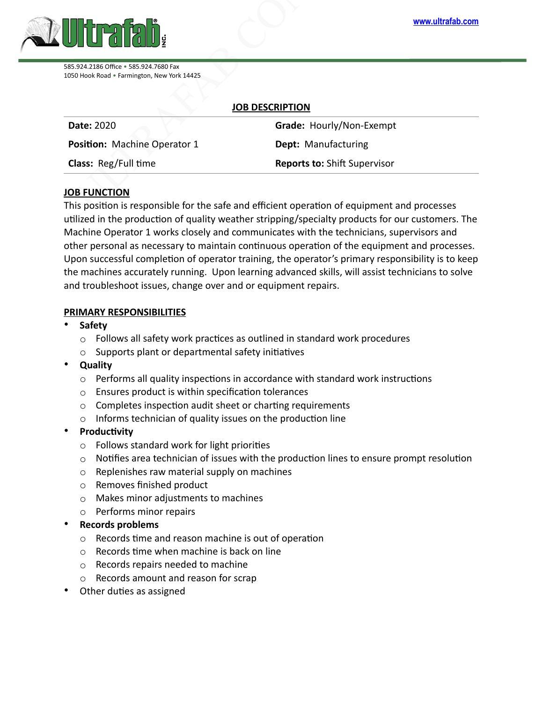

| <b>Ultrafah</b>                                                                       |                                                                                              | www.ultrafab.com |
|---------------------------------------------------------------------------------------|----------------------------------------------------------------------------------------------|------------------|
| 585.924.2186 Office . 585.924.7680 Fax<br>1050 Hook Road . Farmington, New York 14425 | <b>JOB DESCRIPTION</b>                                                                       |                  |
| <b>Date: 2020</b>                                                                     | Grade: Hourly/Non-Exempt                                                                     |                  |
| Position: Machine Operator 1                                                          | Dept: Manufacturing                                                                          |                  |
| Class: Reg/Full time                                                                  | <b>Reports to: Shift Supervisor</b>                                                          |                  |
| <b>JOB FUNCTION</b>                                                                   |                                                                                              |                  |
|                                                                                       | This position is responsible for the safe and efficient operation of equipment and processes |                  |

# **JOB FUNCTION**

This position is responsible for the safe and efficient operation of equipment and processes utilized in the production of quality weather stripping/specialty products for our customers. The Machine Operator 1 works closely and communicates with the technicians, supervisors and other personal as necessary to maintain continuous operation of the equipment and processes. Upon successful completion of operator training, the operator's primary responsibility is to keep the machines accurately running. Upon learning advanced skills, will assist technicians to solve and troubleshoot issues, change over and or equipment repairs.

## **PRIMARY RESPONSIBILITIES**

- **Safety** 
	- $\circ$  Follows all safety work practices as outlined in standard work procedures
	- $\circ$  Supports plant or departmental safety initiatives
- **Quality** 
	- $\circ$  Performs all quality inspections in accordance with standard work instructions
	- $\circ$  Ensures product is within specification tolerances
	- $\circ$  Completes inspection audit sheet or charting requirements
	- $\circ$  Informs technician of quality issues on the production line
- **Productivity** 
	- $\circ$  Follows standard work for light priorities
	- $\circ$  Notifies area technician of issues with the production lines to ensure prompt resolution
	- $\circ$  Replenishes raw material supply on machines
	- o Removes finished product
	- o Makes minor adjustments to machines
	- o Performs minor repairs
- **Records problems** 
	- $\circ$  Records time and reason machine is out of operation
	- $\circ$  Records time when machine is back on line
	- o Records repairs needed to machine
	- o Records amount and reason for scrap
- Other duties as assigned